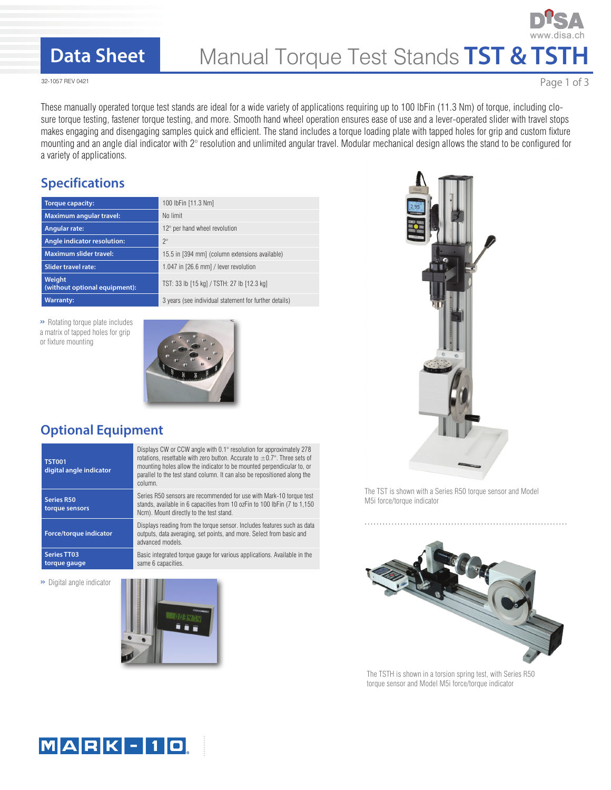## **Data Sheet**

# Manual Torque Test Stands **TST & TSTH**

32-1057 REV 0421

Page 1 of 3

These manually operated torque test stands are ideal for a wide variety of applications requiring up to 100 lbFin (11.3 Nm) of torque, including closure torque testing, fastener torque testing, and more. Smooth hand wheel operation ensures ease of use and a lever-operated slider with travel stops makes engaging and disengaging samples quick and efficient. The stand includes a torque loading plate with tapped holes for grip and custom fixture mounting and an angle dial indicator with 2° resolution and unlimited angular travel. Modular mechanical design allows the stand to be configured for a variety of applications.

### **Specifications**

| <b>Torque capacity:</b>                 | 100 lbFin [11.3 Nm]                                    |
|-----------------------------------------|--------------------------------------------------------|
| <b>Maximum angular travel:</b>          | No limit                                               |
| <b>Angular rate:</b>                    | $12^{\circ}$ per hand wheel revolution                 |
| Angle indicator resolution:             | $2^{\circ}$                                            |
| <b>Maximum slider travel:</b>           | 15.5 in [394 mm] (column extensions available)         |
| <b>Slider travel rate:</b>              | 1.047 in [26.6 mm] / lever revolution                  |
| Weight<br>(without optional equipment): | TST: 33 lb [15 kg] / TSTH: 27 lb [12.3 kg]             |
| <b>Warranty:</b>                        | 3 years (see individual statement for further details) |

» Rotating torque plate includes a matrix of tapped holes for grip or fixture mounting



## **Optional Equipment**

| <b>TST001</b><br>digital angle indicator | Displays CW or CCW angle with 0.1° resolution for approximately 278<br>rotations, resettable with zero button. Accurate to $\pm 0.7^{\circ}$ . Three sets of<br>mounting holes allow the indicator to be mounted perpendicular to, or<br>parallel to the test stand column. It can also be repositioned along the<br>column. |
|------------------------------------------|------------------------------------------------------------------------------------------------------------------------------------------------------------------------------------------------------------------------------------------------------------------------------------------------------------------------------|
| Series R50<br>torque sensors             | Series R50 sensors are recommended for use with Mark-10 torque test<br>stands, available in 6 capacities from 10 ozFin to 100 lbFin (7 to 1,150)<br>Ncm). Mount directly to the test stand.                                                                                                                                  |
| Force/torque indicator                   | Displays reading from the torque sensor. Includes features such as data<br>outputs, data averaging, set points, and more. Select from basic and<br>advanced models.                                                                                                                                                          |
| <b>Series TT03</b><br>torque gauge       | Basic integrated torque gauge for various applications. Available in the<br>same 6 capacities.                                                                                                                                                                                                                               |

» Digital angle indicator





The TST is shown with a Series R50 torque sensor and Model M5i force/torque indicator



The TSTH is shown in a torsion spring test, with Series R50 torque sensor and Model M5i force/torque indicator

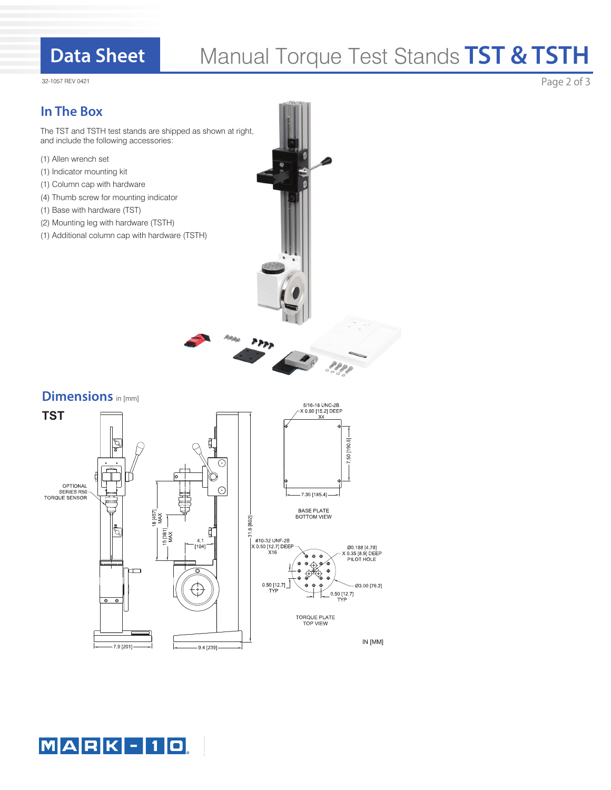# **Data Sheet**

# Manual Torque Test Stands **TST & TSTH**

32-1057 REV 0421

### **In The Box**

The TST and TSTH test stands are shipped as shown at right, and include the following accessories:

- (1) Allen wrench set
- (1) Indicator mounting kit
- (1) Column cap with hardware
- (4) Thumb screw for mounting indicator
- (1) Base with hardware (TST)
- (2) Mounting leg with hardware (TSTH)
- (1) Additional column cap with hardware (TSTH)

#### **Dimensions** in [mm]





Page 2 of 3